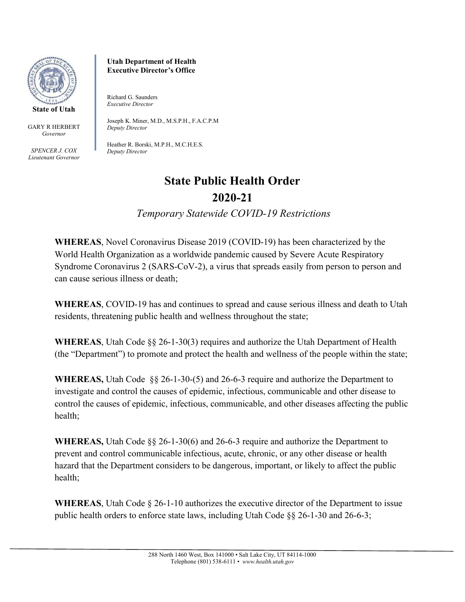

GARY R HERBERT *Governor*

*SPENCER J. COX Lieutenant Governor* **Utah Department of Health Executive Director's Office**

Richard G. Saunders *Executive Director* 

Joseph K. Miner, M.D., M.S.P.H., F.A.C.P.M *Deputy Director*

Heather R. Borski, M.P.H., M.C.H.E.S. *Deputy Director*

## **State Public Health Order 2020-21**

*Temporary Statewide COVID-19 Restrictions* 

**WHEREAS**, Novel Coronavirus Disease 2019 (COVID-19) has been characterized by the World Health Organization as a worldwide pandemic caused by Severe Acute Respiratory Syndrome Coronavirus 2 (SARS-CoV-2), a virus that spreads easily from person to person and can cause serious illness or death;

**WHEREAS**, COVID-19 has and continues to spread and cause serious illness and death to Utah residents, threatening public health and wellness throughout the state;

**WHEREAS**, Utah Code §§ 26-1-30(3) requires and authorize the Utah Department of Health (the "Department") to promote and protect the health and wellness of the people within the state;

**WHEREAS,** Utah Code §§ 26-1-30-(5) and 26-6-3 require and authorize the Department to investigate and control the causes of epidemic, infectious, communicable and other disease to control the causes of epidemic, infectious, communicable, and other diseases affecting the public health;

**WHEREAS,** Utah Code §§ 26-1-30(6) and 26-6-3 require and authorize the Department to prevent and control communicable infectious, acute, chronic, or any other disease or health hazard that the Department considers to be dangerous, important, or likely to affect the public health;

**WHEREAS**, Utah Code § 26-1-10 authorizes the executive director of the Department to issue public health orders to enforce state laws, including Utah Code  $\S$  26-1-30 and 26-6-3;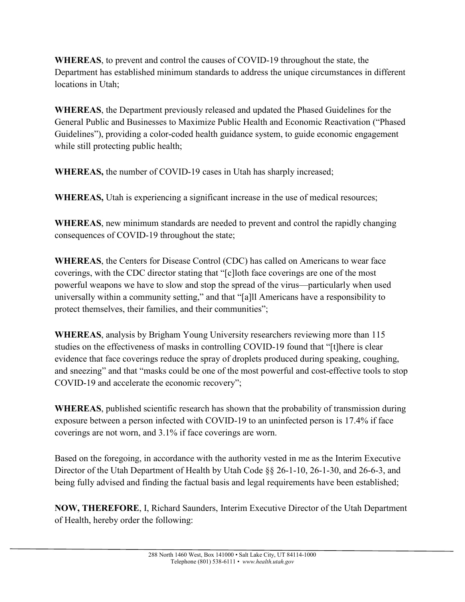**WHEREAS**, to prevent and control the causes of COVID-19 throughout the state, the Department has established minimum standards to address the unique circumstances in different locations in Utah;

**WHEREAS**, the Department previously released and updated the Phased Guidelines for the General Public and Businesses to Maximize Public Health and Economic Reactivation ("Phased Guidelines"), providing a color-coded health guidance system, to guide economic engagement while still protecting public health;

**WHEREAS,** the number of COVID-19 cases in Utah has sharply increased;

**WHEREAS,** Utah is experiencing a significant increase in the use of medical resources;

**WHEREAS**, new minimum standards are needed to prevent and control the rapidly changing consequences of COVID-19 throughout the state;

**WHEREAS**, the Centers for Disease Control (CDC) has called on Americans to wear face coverings, with the CDC director stating that "[c]loth face coverings are one of the most powerful weapons we have to slow and stop the spread of the virus—particularly when used universally within a community setting," and that "[a]ll Americans have a responsibility to protect themselves, their families, and their communities";

**WHEREAS**, analysis by Brigham Young University researchers reviewing more than 115 studies on the effectiveness of masks in controlling COVID-19 found that "[t]here is clear evidence that face coverings reduce the spray of droplets produced during speaking, coughing, and sneezing" and that "masks could be one of the most powerful and cost-effective tools to stop COVID-19 and accelerate the economic recovery";

**WHEREAS**, published scientific research has shown that the probability of transmission during exposure between a person infected with COVID-19 to an uninfected person is 17.4% if face coverings are not worn, and 3.1% if face coverings are worn.

Based on the foregoing, in accordance with the authority vested in me as the Interim Executive Director of the Utah Department of Health by Utah Code §§ 26-1-10, 26-1-30, and 26-6-3, and being fully advised and finding the factual basis and legal requirements have been established;

**NOW, THEREFORE**, I, Richard Saunders, Interim Executive Director of the Utah Department of Health, hereby order the following: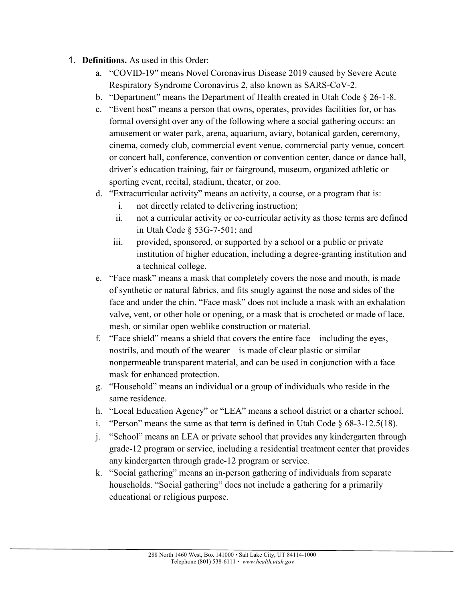## 1. **Definitions.** As used in this Order:

- a. "COVID-19" means Novel Coronavirus Disease 2019 caused by Severe Acute Respiratory Syndrome Coronavirus 2, also known as SARS-CoV-2.
- b. "Department" means the Department of Health created in Utah Code § 26-1-8.
- c. "Event host" means a person that owns, operates, provides facilities for, or has formal oversight over any of the following where a social gathering occurs: an amusement or water park, arena, aquarium, aviary, botanical garden, ceremony, cinema, comedy club, commercial event venue, commercial party venue, concert or concert hall, conference, convention or convention center, dance or dance hall, driver's education training, fair or fairground, museum, organized athletic or sporting event, recital, stadium, theater, or zoo.
- d. "Extracurricular activity" means an activity, a course, or a program that is:
	- i. not directly related to delivering instruction;
	- ii. not a curricular activity or co-curricular activity as those terms are defined in Utah Code § 53G-7-501; and
	- iii. provided, sponsored, or supported by a school or a public or private institution of higher education, including a degree-granting institution and a technical college.
- e. "Face mask" means a mask that completely covers the nose and mouth, is made of synthetic or natural fabrics, and fits snugly against the nose and sides of the face and under the chin. "Face mask" does not include a mask with an exhalation valve, vent, or other hole or opening, or a mask that is crocheted or made of lace, mesh, or similar open weblike construction or material.
- f. "Face shield" means a shield that covers the entire face—including the eyes, nostrils, and mouth of the wearer—is made of clear plastic or similar nonpermeable transparent material, and can be used in conjunction with a face mask for enhanced protection.
- g. "Household" means an individual or a group of individuals who reside in the same residence.
- h. "Local Education Agency" or "LEA" means a school district or a charter school.
- i. "Person" means the same as that term is defined in Utah Code  $§$  68-3-12.5(18).
- j. "School" means an LEA or private school that provides any kindergarten through grade-12 program or service, including a residential treatment center that provides any kindergarten through grade-12 program or service.
- k. "Social gathering" means an in-person gathering of individuals from separate households. "Social gathering" does not include a gathering for a primarily educational or religious purpose.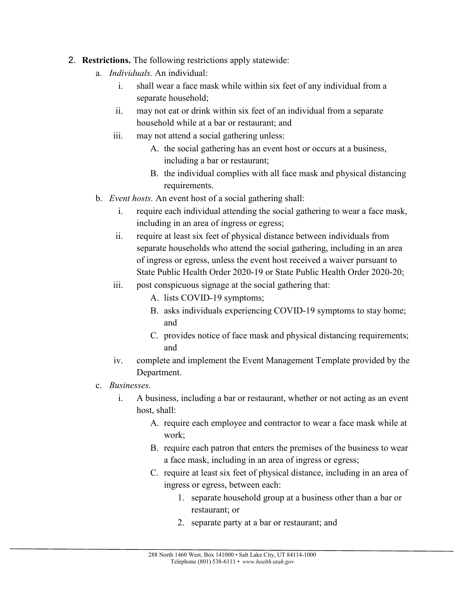- 2. **Restrictions.** The following restrictions apply statewide:
	- a. *Individuals.* An individual:
		- i. shall wear a face mask while within six feet of any individual from a separate household;
		- ii. may not eat or drink within six feet of an individual from a separate household while at a bar or restaurant; and
		- iii. may not attend a social gathering unless:
			- A. the social gathering has an event host or occurs at a business, including a bar or restaurant;
			- B. the individual complies with all face mask and physical distancing requirements.
	- b. *Event hosts.* An event host of a social gathering shall:
		- i. require each individual attending the social gathering to wear a face mask, including in an area of ingress or egress;
		- ii. require at least six feet of physical distance between individuals from separate households who attend the social gathering, including in an area of ingress or egress, unless the event host received a waiver pursuant to State Public Health Order 2020-19 or State Public Health Order 2020-20;
		- iii. post conspicuous signage at the social gathering that:
			- A. lists COVID-19 symptoms;
			- B. asks individuals experiencing COVID-19 symptoms to stay home; and
			- C. provides notice of face mask and physical distancing requirements; and
		- iv. complete and implement the Event Management Template provided by the Department.
	- c. *Businesses.*
		- i. A business, including a bar or restaurant, whether or not acting as an event host, shall:
			- A. require each employee and contractor to wear a face mask while at work;
			- B. require each patron that enters the premises of the business to wear a face mask, including in an area of ingress or egress;
			- C. require at least six feet of physical distance, including in an area of ingress or egress, between each:
				- 1. separate household group at a business other than a bar or restaurant; or
				- 2. separate party at a bar or restaurant; and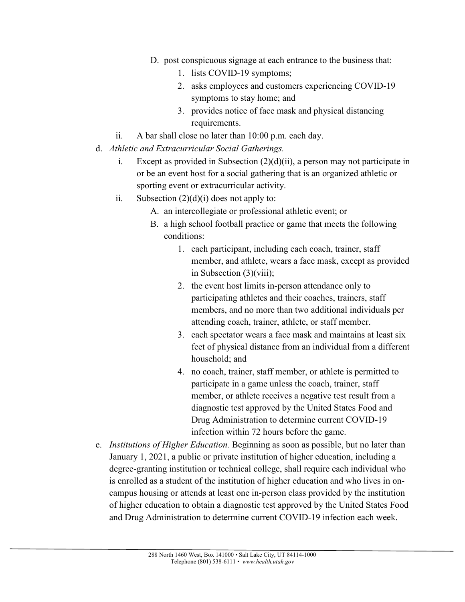- D. post conspicuous signage at each entrance to the business that:
	- 1. lists COVID-19 symptoms;
	- 2. asks employees and customers experiencing COVID-19 symptoms to stay home; and
	- 3. provides notice of face mask and physical distancing requirements.
- ii. A bar shall close no later than 10:00 p.m. each day.
- d. *Athletic and Extracurricular Social Gatherings.*
	- i. Except as provided in Subsection  $(2)(d)(ii)$ , a person may not participate in or be an event host for a social gathering that is an organized athletic or sporting event or extracurricular activity.
	- ii. Subsection  $(2)(d)(i)$  does not apply to:
		- A. an intercollegiate or professional athletic event; or
		- B. a high school football practice or game that meets the following conditions:
			- 1. each participant, including each coach, trainer, staff member, and athlete, wears a face mask, except as provided in Subsection (3)(viii);
			- 2. the event host limits in-person attendance only to participating athletes and their coaches, trainers, staff members, and no more than two additional individuals per attending coach, trainer, athlete, or staff member.
			- 3. each spectator wears a face mask and maintains at least six feet of physical distance from an individual from a different household; and
			- 4. no coach, trainer, staff member, or athlete is permitted to participate in a game unless the coach, trainer, staff member, or athlete receives a negative test result from a diagnostic test approved by the United States Food and Drug Administration to determine current COVID-19 infection within 72 hours before the game.
- e. *Institutions of Higher Education.* Beginning as soon as possible, but no later than January 1, 2021, a public or private institution of higher education, including a degree-granting institution or technical college, shall require each individual who is enrolled as a student of the institution of higher education and who lives in oncampus housing or attends at least one in-person class provided by the institution of higher education to obtain a diagnostic test approved by the United States Food and Drug Administration to determine current COVID-19 infection each week.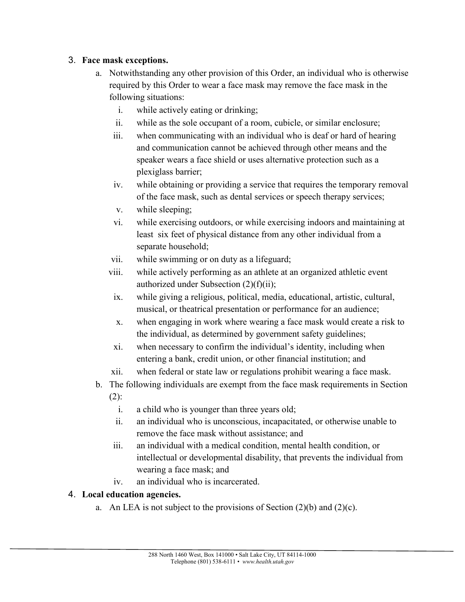## 3. **Face mask exceptions.**

- a. Notwithstanding any other provision of this Order, an individual who is otherwise required by this Order to wear a face mask may remove the face mask in the following situations:
	- i. while actively eating or drinking;
	- ii. while as the sole occupant of a room, cubicle, or similar enclosure;
	- iii. when communicating with an individual who is deaf or hard of hearing and communication cannot be achieved through other means and the speaker wears a face shield or uses alternative protection such as a plexiglass barrier;
	- iv. while obtaining or providing a service that requires the temporary removal of the face mask, such as dental services or speech therapy services;
	- v. while sleeping;
	- vi. while exercising outdoors, or while exercising indoors and maintaining at least six feet of physical distance from any other individual from a separate household;
	- vii. while swimming or on duty as a lifeguard;
	- viii. while actively performing as an athlete at an organized athletic event authorized under Subsection (2)(f)(ii);
	- ix. while giving a religious, political, media, educational, artistic, cultural, musical, or theatrical presentation or performance for an audience;
	- x. when engaging in work where wearing a face mask would create a risk to the individual, as determined by government safety guidelines;
	- xi. when necessary to confirm the individual's identity, including when entering a bank, credit union, or other financial institution; and
	- xii. when federal or state law or regulations prohibit wearing a face mask.
- b. The following individuals are exempt from the face mask requirements in Section  $(2)$ :
	- i. a child who is younger than three years old;
	- ii. an individual who is unconscious, incapacitated, or otherwise unable to remove the face mask without assistance; and
	- iii. an individual with a medical condition, mental health condition, or intellectual or developmental disability, that prevents the individual from wearing a face mask; and
	- iv. an individual who is incarcerated.

## 4. **Local education agencies.**

a. An LEA is not subject to the provisions of Section  $(2)(b)$  and  $(2)(c)$ .